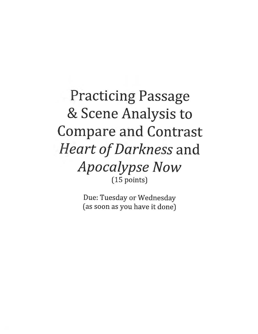## **Practicing Passage** & Scene Analysis to **Compare and Contrast** *Heart of Darkness* and **Apocalypse Now**  $(15$  points)

Due: Tuesday or Wednesday (as soon as you have it done)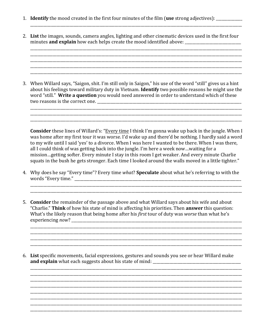- 1. **Identify** the mood created in the first four minutes of the film (use strong adjectives): \_\_\_\_\_\_\_\_\_\_\_\_
- 2. List the images, sounds, camera angles, lighting and other cinematic devices used in the first four minutes **and explain** how each helps create the mood identified above:

3. When Willard says, "Saigon, shit. I'm still only in Saigon," his use of the word "still" gives us a hint about his feelings toward military duty in Vietnam. **Identify** two possible reasons he might use the word "still." Write a question you would need answered in order to understand which of these 

**Consider** these lines of Willard's: "Every time I think I'm gonna wake up back in the jungle. When I was home after my first tour it was worse. I'd wake up and there'd be nothing. I hardly said a word to my wife until I said 'yes' to a divorce. When I was here I wanted to be there. When I was there, all I could think of was getting back into the jungle. I'm here a week now...waiting for a mission...getting softer. Every minute I stay in this room I get weaker. And every minute Charlie squats in the bush he gets stronger. Each time I looked around the walls moved in a little tighter."

4. Why does he say "Every time"? Every time what? Speculate about what he's referring to with the 

5. Consider the remainder of the passage above and what Willard says about his wife and about "Charlie." Think of how his state of mind is affecting his priorities. Then answer this question: What's the likely reason that being home after his first tour of duty was worse than what he's experiencing *now*?

6. List specific movements, facial expressions, gestures and sounds you see or hear Willard make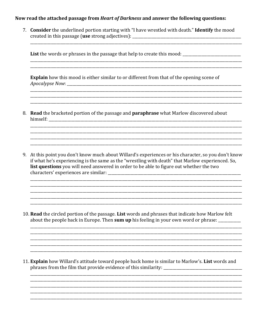## Now read the attached passage from *Heart of Darkness* and answer the following questions:

7. Consider the underlined portion starting with "I have wrestled with death." Identify the mood 

List the words or phrases in the passage that help to create this mood: \_\_\_\_\_\_\_\_\_\_\_\_\_\_\_\_\_\_\_\_\_\_\_\_\_\_\_\_

**Explain** how this mood is either similar to or different from that of the opening scene of 

8. Read the bracketed portion of the passage and **paraphrase** what Marlow discovered about 

9. At this point you don't know much about Willard's experiences or his character, so you don't know if what he's experiencing is the same as the "wrestling with death" that Marlow experienced. So, list questions you will need answered in order to be able to figure out whether the two 

10. Read the circled portion of the passage. List words and phrases that indicate how Marlow felt about the people back in Europe. Then sum up his feeling in your own word or phrase:

11. Explain how Willard's attitude toward people back home is similar to Marlow's. List words and phrases from the film that provide evidence of this similarity: